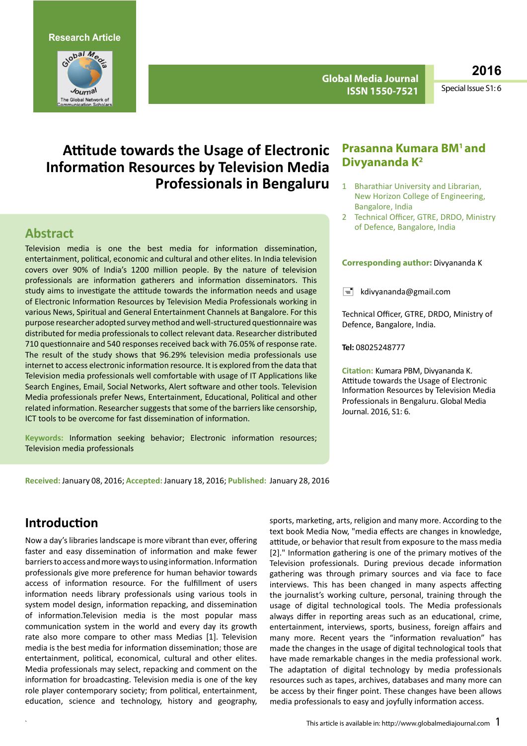**Research Article**



**Global Media Journal ISSN 1550-7521**

**2016**

Special Issue S1: 6

# **Attitude towards the Usage of Electronic Information Resources by Television Media Professionals in Bengaluru**

## **Abstract**

Television media is one the best media for information dissemination, entertainment, political, economic and cultural and other elites. In India television covers over 90% of India's 1200 million people. By the nature of television professionals are information gatherers and information disseminators. This study aims to investigate the attitude towards the information needs and usage of Electronic Information Resources by Television Media Professionals working in various News, Spiritual and General Entertainment Channels at Bangalore. For this purpose researcher adopted surveymethod and well-structured questionnairewas distributed for media professionalsto collect relevant data. Researcher distributed 710 questionnaire and 540 responses received back with 76.05% of response rate. The result of the study shows that 96.29% television media professionals use internet to access electronic information resource. It is explored from the data that Television media professionals well comfortable with usage of IT Applications like Search Engines, Email, Social Networks, Alert software and other tools. Television Media professionals prefer News, Entertainment, Educational, Political and other related information. Researcher suggests that some of the barriers like censorship, ICT tools to be overcome for fast dissemination of information.

**Keywords:** Information seeking behavior; Electronic information resources; Television media professionals

### **Prasanna Kumara BM1 and Divyananda K2**

- 1 Bharathiar University and Librarian, New Horizon College of Engineering, Bangalore, India
- 2 Technical Officer, GTRE, DRDO, Ministry of Defence, Bangalore, India

#### **Corresponding author:** Divyananda K

 $\equiv$  [kdivyananda@gmail.com](mailto:kdivyananda@gmail.com)

Technical Officer, GTRE, DRDO, Ministry of Defence, Bangalore, India.

**Tel:** 08025248777

**Citation:** Kumara PBM, Divyananda K. Attitude towards the Usage of Electronic Information Resources by Television Media Professionals in Bengaluru. Global Media Journal. 2016, S1: 6.

**Received:** January 08, 2016; **Accepted:** January 18, 2016; **Published:** January 28, 2016

## **Introduction**

Now a day's libraries landscape is more vibrant than ever, offering faster and easy dissemination of information and make fewer barrierstoaccessandmorewaystousing information.Information professionals give more preference for human behavior towards access of information resource. For the fulfillment of users information needs library professionals using various tools in system model design, information repacking, and dissemination of information.Television media is the most popular mass communication system in the world and every day its growth rate also more compare to other mass Medias [1]. Television media is the best media for information dissemination; those are entertainment, political, economical, cultural and other elites. Media professionals may select, repacking and comment on the information for broadcasting. Television media is one of the key role player contemporary society; from political, entertainment, education, science and technology, history and geography,

sports, marketing, arts, religion and many more. According to the text book Media Now, "media effects are changes in knowledge, attitude, or behavior that result from exposure to the mass media [2]." Information gathering is one of the primary motives of the Television professionals. During previous decade information gathering was through primary sources and via face to face interviews. This has been changed in many aspects affecting the journalist's working culture, personal, training through the usage of digital technological tools. The Media professionals always differ in reporting areas such as an educational, crime, entertainment, interviews, sports, business, foreign affairs and many more. Recent years the "information revaluation" has made the changes in the usage of digital technological tools that have made remarkable changes in the media professional work. The adaptation of digital technology by media professionals resources such as tapes, archives, databases and many more can be access by their finger point. These changes have been allows media professionals to easy and joyfully information access.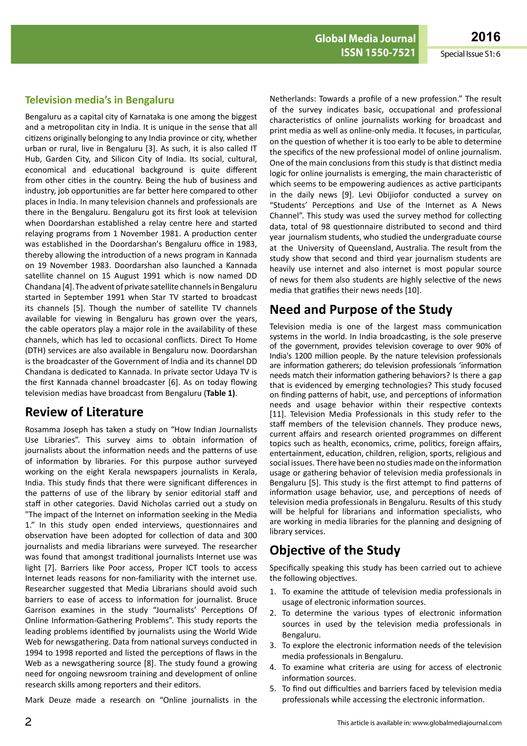### **Television media's in Bengaluru**

Bengaluru as a capital city of Karnataka is one among the biggest and a metropolitan city in India. It is unique in the sense that all citizens originally belonging to any India province or city, whether urban or rural, live in Bengaluru [3]. As such, it is also called IT Hub, Garden City, and Silicon City of India. Its social, cultural, economical and educational background is quite different from other cities in the country. Being the hub of business and industry, job opportunities are far better here compared to other places in India. In many television channels and professionals are there in the Bengaluru. Bengaluru got its first look at television when Doordarshan established a relay centre here and started relaying programs from 1 November 1981. A production center was established in the Doordarshan's Bengaluru office in 1983, thereby allowing the introduction of a news program in Kannada on 19 November 1983. Doordarshan also launched a Kannada satellite channel on 15 August 1991 which is now named DD Chandana [4]. The advent of private satellite channels in Bengaluru started in September 1991 when Star TV started to broadcast its channels [5]. Though the number of satellite TV channels available for viewing in Bengaluru has grown over the years, the cable operators play a major role in the availability of these channels, which has led to occasional conflicts. Direct To Home (DTH) services are also available in Bengaluru now. Doordarshan is the broadcaster of the Government of India and its channel DD Chandana is dedicated to Kannada. In private sector Udaya TV is the first Kannada channel broadcaster [6]. As on today flowing television medias have broadcast from Bengaluru (**Table 1)**.

# **Review of Literature**

Rosamma Joseph has taken a study on "How Indian Journalists Use Libraries". This survey aims to obtain information of journalists about the information needs and the patterns of use of information by libraries. For this purpose author surveyed working on the eight Kerala newspapers journalists in Kerala, India. This study finds that there were significant differences in the patterns of use of the library by senior editorial staff and staff in other categories. David Nicholas carried out a study on "The impact of the Internet on information seeking in the Media 1." In this study open ended interviews, questionnaires and observation have been adopted for collection of data and 300 journalists and media librarians were surveyed. The researcher was found that amongst traditional journalists Internet use was light [7]. Barriers like Poor access, Proper ICT tools to access Internet leads reasons for non-familiarity with the internet use. Researcher suggested that Media Librarians should avoid such barriers to ease of access to information for journalist. Bruce Garrison examines in the study "Journalists' Perceptions Of Online Information-Gathering Problems". This study reports the leading problems identified by journalists using the World Wide Web for newsgathering. Data from national surveys conducted in 1994 to 1998 reported and listed the perceptions of flaws in the Web as a newsgathering source [8]. The study found a growing need for ongoing newsroom training and development of online research skills among reporters and their editors.

Mark Deuze made a research on "Online journalists in the

Netherlands: Towards a profile of a new profession." The result of the survey indicates basic, occupational and professional characteristics of online journalists working for broadcast and print media as well as online-only media. It focuses, in particular, on the question of whether it is too early to be able to determine the specifics of the new professional model of online journalism. One of the main conclusions from this study is that distinct media logic for online journalists is emerging, the main characteristic of which seems to be empowering audiences as active participants in the daily news [9]. Levi Obijiofor conducted a survey on "Students' Perceptions and Use of the Internet as A News Channel". This study was used the survey method for collecting data, total of 98 questionnaire distributed to second and third year journalism students, who studied the undergraduate course at the University of Queensland, Australia. The result from the study show that second and third year journalism students are heavily use internet and also internet is most popular source of news for them also students are highly selective of the news media that gratifies their news needs [10].

# **Need and Purpose of the Study**

Television media is one of the largest mass communication systems in the world. In India broadcasting, is the sole preserve of the government, provides television coverage to over 90% of India's 1200 million people. By the nature television professionals are information gatherers; do television professionals 'information needs match their information gathering behaviors? Is there a gap that is evidenced by emerging technologies? This study focused on finding patterns of habit, use, and perceptions of information needs and usage behavior within their respective contexts [11]. Television Media Professionals in this study refer to the staff members of the television channels. They produce news, current affairs and research oriented programmes on different topics such as health, economics, crime, politics, foreign affairs, entertainment, education, children, religion, sports, religious and social issues. There have been no studies made on the information usage or gathering behavior of television media professionals in Bengaluru [5]. This study is the first attempt to find patterns of information usage behavior, use, and perceptions of needs of television media professionals in Bengaluru. Results of this study will be helpful for librarians and information specialists, who are working in media libraries for the planning and designing of library services.

# **Objective of the Study**

Specifically speaking this study has been carried out to achieve the following objectives.

- 1. To examine the attitude of television media professionals in usage of electronic information sources.
- 2. To determine the various types of electronic information sources in used by the television media professionals in Bengaluru.
- 3. To explore the electronic information needs of the television media professionals in Bengaluru.
- 4. To examine what criteria are using for access of electronic information sources.
- 5. To find out difficulties and barriers faced by television media professionals while accessing the electronic information.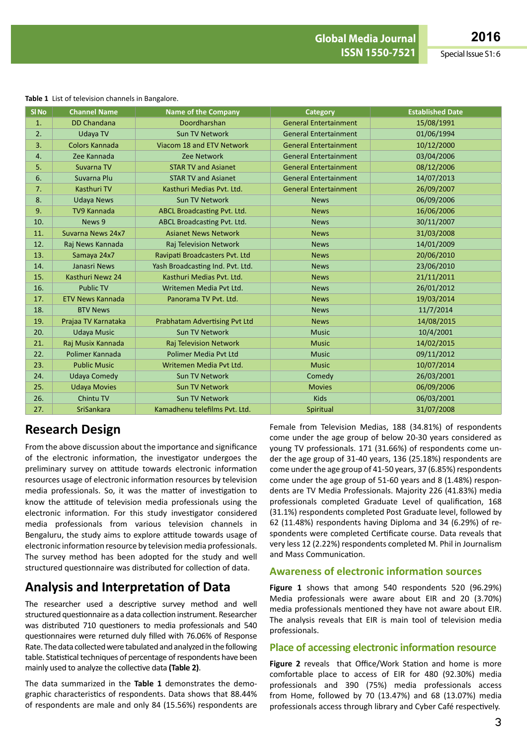|                  | <b>Table 1</b> List of television challities in Bangalore. |                                      |                              |                         |  |  |
|------------------|------------------------------------------------------------|--------------------------------------|------------------------------|-------------------------|--|--|
| SI <sub>No</sub> | <b>Channel Name</b>                                        | <b>Name of the Company</b>           | <b>Category</b>              | <b>Established Date</b> |  |  |
| 1.               | <b>DD Chandana</b>                                         | Doordharshan                         | <b>General Entertainment</b> | 15/08/1991              |  |  |
| 2.               | Udaya TV                                                   | <b>Sun TV Network</b>                | <b>General Entertainment</b> | 01/06/1994              |  |  |
| 3.               | Colors Kannada                                             | Viacom 18 and ETV Network            | <b>General Entertainment</b> | 10/12/2000              |  |  |
| 4.               | Zee Kannada                                                | <b>Zee Network</b>                   | <b>General Entertainment</b> | 03/04/2006              |  |  |
| 5.               | Suvarna TV                                                 | <b>STAR TV and Asianet</b>           | <b>General Entertainment</b> | 08/12/2006              |  |  |
| 6.               | Suvarna Plu                                                | <b>STAR TV and Asianet</b>           | <b>General Entertainment</b> | 14/07/2013              |  |  |
| 7.               | Kasthuri TV                                                | Kasthuri Medias Pvt. Ltd.            | <b>General Entertainment</b> | 26/09/2007              |  |  |
| 8.               | <b>Udaya News</b>                                          | Sun TV Network                       | <b>News</b>                  | 06/09/2006              |  |  |
| 9.               | <b>TV9 Kannada</b>                                         | ABCL Broadcasting Pvt. Ltd.          | <b>News</b>                  | 16/06/2006              |  |  |
| 10.              | News 9                                                     | ABCL Broadcasting Pvt. Ltd.          | <b>News</b>                  | 30/11/2007              |  |  |
| 11.              | Suvarna News 24x7                                          | <b>Asianet News Network</b>          | <b>News</b>                  | 31/03/2008              |  |  |
| 12.              | Raj News Kannada                                           | Raj Television Network               | <b>News</b>                  | 14/01/2009              |  |  |
| 13.              | Samaya 24x7                                                | Ravipati Broadcasters Pvt. Ltd       | <b>News</b>                  | 20/06/2010              |  |  |
| 14.              | Janasri News                                               | Yash Broadcasting Ind. Pvt. Ltd.     | <b>News</b>                  | 23/06/2010              |  |  |
| 15.              | Kasthuri Newz 24                                           | Kasthuri Medias Pvt. Ltd.            | <b>News</b>                  | 21/11/2011              |  |  |
| 16.              | <b>Public TV</b>                                           | Writemen Media Pyt Ltd.              | <b>News</b>                  | 26/01/2012              |  |  |
| 17.              | <b>ETV News Kannada</b>                                    | Panorama TV Pvt. Ltd.                | <b>News</b>                  | 19/03/2014              |  |  |
| 18.              | <b>BTV News</b>                                            |                                      | <b>News</b>                  | 11/7/2014               |  |  |
| 19.              | Prajaa TV Karnataka                                        | <b>Prabhatam Advertising Pvt Ltd</b> | <b>News</b>                  | 14/08/2015              |  |  |
| 20.              | <b>Udaya Music</b>                                         | Sun TV Network                       | <b>Music</b>                 | 10/4/2001               |  |  |
| 21.              | Raj Musix Kannada                                          | Raj Television Network               | <b>Music</b>                 | 14/02/2015              |  |  |
| 22.              | Polimer Kannada                                            | <b>Polimer Media Pvt Ltd</b>         | <b>Music</b>                 | 09/11/2012              |  |  |
| 23.              | <b>Public Music</b>                                        | Writemen Media Pyt Ltd.              | <b>Music</b>                 | 10/07/2014              |  |  |
| 24.              | <b>Udaya Comedy</b>                                        | <b>Sun TV Network</b>                | Comedy                       | 26/03/2001              |  |  |
| 25.              | <b>Udaya Movies</b>                                        | <b>Sun TV Network</b>                | <b>Movies</b>                | 06/09/2006              |  |  |
| 26.              | Chintu TV                                                  | <b>Sun TV Network</b>                | <b>Kids</b>                  | 06/03/2001              |  |  |
| 27.              | SriSankara                                                 | Kamadhenu telefilms Pvt. Ltd.        | Spiritual                    | 31/07/2008              |  |  |

#### **Table 1** List of television channels in Bangalore.

## **Research Design**

From the above discussion about the importance and significance of the electronic information, the investigator undergoes the preliminary survey on attitude towards electronic information resources usage of electronic information resources by television media professionals. So, it was the matter of investigation to know the attitude of television media professionals using the electronic information. For this study investigator considered media professionals from various television channels in Bengaluru, the study aims to explore attitude towards usage of electronic information resource by television media professionals. The survey method has been adopted for the study and well structured questionnaire was distributed for collection of data.

## **Analysis and Interpretation of Data**

The researcher used a descriptive survey method and well structured questionnaire as a data collection instrument. Researcher was distributed 710 questioners to media professionals and 540 questionnaires were returned duly filled with 76.06% of Response Rate. The data collected were tabulated and analyzed in the following table. Statistical techniques of percentage of respondents have been mainly used to analyze the collective data **(Table 2)**.

The data summarized in the **Table 1** demonstrates the demographic characteristics of respondents. Data shows that 88.44% of respondents are male and only 84 (15.56%) respondents are Female from Television Medias, 188 (34.81%) of respondents come under the age group of below 20-30 years considered as young TV professionals. 171 (31.66%) of respondents come under the age group of 31-40 years, 136 (25.18%) respondents are come under the age group of 41-50 years, 37 (6.85%) respondents come under the age group of 51-60 years and 8 (1.48%) respondents are TV Media Professionals. Majority 226 (41.83%) media professionals completed Graduate Level of qualification, 168 (31.1%) respondents completed Post Graduate level, followed by 62 (11.48%) respondents having Diploma and 34 (6.29%) of respondents were completed Certificate course. Data reveals that very less 12 (2.22%) respondents completed M. Phil in Journalism and Mass Communication.

### **Awareness of electronic information sources**

**Figure 1** shows that among 540 respondents 520 (96.29%) Media professionals were aware about EIR and 20 (3.70%) media professionals mentioned they have not aware about EIR. The analysis reveals that EIR is main tool of television media professionals.

#### **Place of accessing electronic information resource**

**Figure 2** reveals that Office/Work Station and home is more comfortable place to access of EIR for 480 (92.30%) media professionals and 390 (75%) media professionals access from Home, followed by 70 (13.47%) and 68 (13.07%) media professionals access through library and Cyber Café respectively.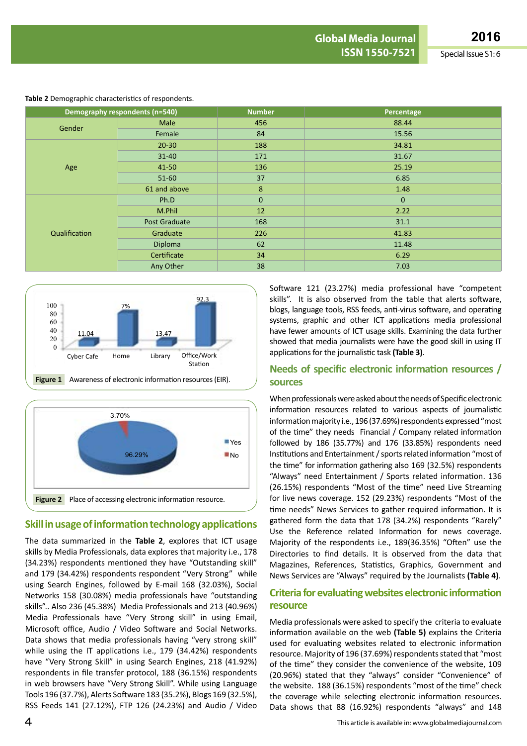|               | Demography respondents (n=540) | <b>Number</b> | Percentage   |  |  |  |
|---------------|--------------------------------|---------------|--------------|--|--|--|
|               | Male                           | 456           | 88.44        |  |  |  |
| Gender        | Female                         | 84            | 15.56        |  |  |  |
|               | $20 - 30$                      | 188           | 34.81        |  |  |  |
|               | $31 - 40$                      | 171           | 31.67        |  |  |  |
| Age           | 41-50                          | 136           | 25.19        |  |  |  |
|               | $51-60$                        | 37            | 6.85         |  |  |  |
|               | 61 and above                   | 8             | 1.48         |  |  |  |
|               | Ph.D                           | $\mathbf{0}$  | $\mathbf{0}$ |  |  |  |
|               | M.Phil                         | 12            | 2.22         |  |  |  |
|               | Post Graduate                  | 168           | 31.1         |  |  |  |
| Qualification | Graduate                       | 226           | 41.83        |  |  |  |
|               | <b>Diploma</b>                 | 62            | 11.48        |  |  |  |
|               | Certificate                    | 34            | 6.29         |  |  |  |
|               | Any Other                      | 38            | 7.03         |  |  |  |

#### **Table 2** Demographic characteristics of respondents.





### **Skill in usage of information technology applications**

The data summarized in the **Table 2**, explores that ICT usage skills by Media Professionals, data explores that majority i.e., 178 (34.23%) respondents mentioned they have "Outstanding skill" and 179 (34.42%) respondents respondent "Very Strong" while using Search Engines, followed by E-mail 168 (32.03%), Social Networks 158 (30.08%) media professionals have "outstanding skills".. Also 236 (45.38%) Media Professionals and 213 (40.96%) Media Professionals have "Very Strong skill" in using Email, Microsoft office, Audio / Video Software and Social Networks. Data shows that media professionals having "very strong skill" while using the IT applications i.e., 179 (34.42%) respondents have "Very Strong Skill" in using Search Engines, 218 (41.92%) respondents in file transfer protocol, 188 (36.15%) respondents in web browsers have "Very Strong Skill". While using Language Tools 196 (37.7%), Alerts Software 183 (35.2%), Blogs 169 (32.5%), RSS Feeds 141 (27.12%), FTP 126 (24.23%) and Audio / Video Software 121 (23.27%) media professional have "competent skills". It is also observed from the table that alerts software, blogs, language tools, RSS feeds, anti-virus software, and operating systems, graphic and other ICT applications media professional have fewer amounts of ICT usage skills. Examining the data further showed that media journalists were have the good skill in using IT applications for the journalistic task (Table 3).

### **Needs of specific electronic information resources / sources**

When professionals were asked about the needs of Specific electronic information resources related to various aspects of journalistic information majority i.e., 196 (37.69%) respondents expressed "most of the time" they needs Financial / Company related information followed by 186 (35.77%) and 176 (33.85%) respondents need Institutions and Entertainment / sports related information "most of the time" for information gathering also 169 (32.5%) respondents "Always" need Entertainment / Sports related information. 136 (26.15%) respondents "Most of the time" need Live Streaming for live news coverage. 152 (29.23%) respondents "Most of the time needs" News Services to gather required information. It is gathered form the data that 178 (34.2%) respondents "Rarely" Use the Reference related Information for news coverage. Majority of the respondents i.e., 189(36.35%) "Often" use the Directories to find details. It is observed from the data that Magazines, References, Statistics, Graphics, Government and News Services are "Always" required by the Journalists **(Table 4)**.

### **Criteria for evaluating websites electronic information resource**

Media professionals were asked to specify the criteria to evaluate information available on the web **(Table 5)** explains the Criteria used for evaluating websites related to electronic information resource. Majority of 196 (37.69%) respondents stated that "most of the time" they consider the convenience of the website, 109 (20.96%) stated that they "always" consider "Convenience" of the website. 188 (36.15%) respondents "most of the time" check the coverage while selecting electronic information resources. Data shows that 88 (16.92%) respondents "always" and 148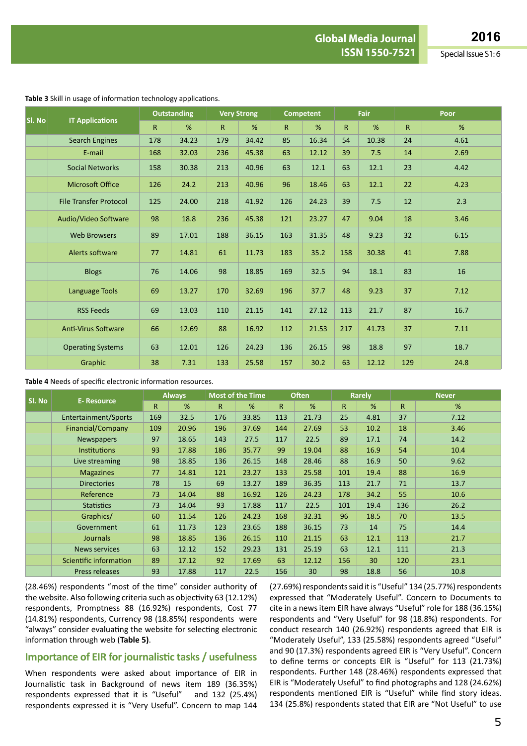| SI. No |                               | <b>Outstanding</b> |       | <b>Very Strong</b> |       | <b>Competent</b> |       | Fair         |       | Poor |      |  |
|--------|-------------------------------|--------------------|-------|--------------------|-------|------------------|-------|--------------|-------|------|------|--|
|        | <b>IT Applications</b>        | $\mathsf{R}$       | %     | R                  | %     | R                | %     | $\mathsf{R}$ | %     | R    | %    |  |
|        | <b>Search Engines</b>         | 178                | 34.23 | 179                | 34.42 | 85               | 16.34 | 54           | 10.38 | 24   | 4.61 |  |
|        | E-mail                        | 168                | 32.03 | 236                | 45.38 | 63               | 12.12 | 39           | 7.5   | 14   | 2.69 |  |
|        | <b>Social Networks</b>        | 158                | 30.38 | 213                | 40.96 | 63               | 12.1  | 63           | 12.1  | 23   | 4.42 |  |
|        | <b>Microsoft Office</b>       | 126                | 24.2  | 213                | 40.96 | 96               | 18.46 | 63           | 12.1  | 22   | 4.23 |  |
|        | <b>File Transfer Protocol</b> | 125                | 24.00 | 218                | 41.92 | 126              | 24.23 | 39           | 7.5   | 12   | 2.3  |  |
|        | Audio/Video Software          | 98                 | 18.8  | 236                | 45.38 | 121              | 23.27 | 47           | 9.04  | 18   | 3.46 |  |
|        | <b>Web Browsers</b>           | 89                 | 17.01 | 188                | 36.15 | 163              | 31.35 | 48           | 9.23  | 32   | 6.15 |  |
|        | Alerts software               | 77                 | 14.81 | 61                 | 11.73 | 183              | 35.2  | 158          | 30.38 | 41   | 7.88 |  |
|        | <b>Blogs</b>                  | 76                 | 14.06 | 98                 | 18.85 | 169              | 32.5  | 94           | 18.1  | 83   | 16   |  |
|        | Language Tools                | 69                 | 13.27 | 170                | 32.69 | 196              | 37.7  | 48           | 9.23  | 37   | 7.12 |  |
|        | <b>RSS Feeds</b>              | 69                 | 13.03 | 110                | 21.15 | 141              | 27.12 | 113          | 21.7  | 87   | 16.7 |  |
|        | <b>Anti-Virus Software</b>    | 66                 | 12.69 | 88                 | 16.92 | 112              | 21.53 | 217          | 41.73 | 37   | 7.11 |  |
|        | <b>Operating Systems</b>      | 63                 | 12.01 | 126                | 24.23 | 136              | 26.15 | 98           | 18.8  | 97   | 18.7 |  |
|        | Graphic                       | 38                 | 7.31  | 133                | 25.58 | 157              | 30.2  | 63           | 12.12 | 129  | 24.8 |  |

**Table 4** Needs of specific electronic information resources.

|        | <b>E- Resource</b>     | <b>Always</b> |       | <b>Most of the Time</b> |       | <b>Often</b> |       | <b>Rarely</b> |      | <b>Never</b> |      |
|--------|------------------------|---------------|-------|-------------------------|-------|--------------|-------|---------------|------|--------------|------|
| SI. No |                        | $\mathsf{R}$  | %     | $\mathsf{R}$            | %     | $\mathsf{R}$ | %     | R.            | %    | $\mathsf{R}$ | %    |
|        | Entertainment/Sports   | 169           | 32.5  | 176                     | 33.85 | 113          | 21.73 | 25            | 4.81 | 37           | 7.12 |
|        | Financial/Company      | 109           | 20.96 | 196                     | 37.69 | 144          | 27.69 | 53            | 10.2 | 18           | 3.46 |
|        | <b>Newspapers</b>      | 97            | 18.65 | 143                     | 27.5  | 117          | 22.5  | 89            | 17.1 | 74           | 14.2 |
|        | <b>Institutions</b>    | 93            | 17.88 | 186                     | 35.77 | 99           | 19.04 | 88            | 16.9 | 54           | 10.4 |
|        | Live streaming         | 98            | 18.85 | 136                     | 26.15 | 148          | 28.46 | 88            | 16.9 | 50           | 9.62 |
|        | <b>Magazines</b>       | 77            | 14.81 | 121                     | 23.27 | 133          | 25.58 | 101           | 19.4 | 88           | 16.9 |
|        | <b>Directories</b>     | 78            | 15    | 69                      | 13.27 | 189          | 36.35 | 113           | 21.7 | 71           | 13.7 |
|        | Reference              | 73            | 14.04 | 88                      | 16.92 | 126          | 24.23 | 178           | 34.2 | 55           | 10.6 |
|        | <b>Statistics</b>      | 73            | 14.04 | 93                      | 17.88 | 117          | 22.5  | 101           | 19.4 | 136          | 26.2 |
|        | Graphics/              | 60            | 11.54 | 126                     | 24.23 | 168          | 32.31 | 96            | 18.5 | 70           | 13.5 |
|        | Government             | 61            | 11.73 | 123                     | 23.65 | 188          | 36.15 | 73            | 14   | 75           | 14.4 |
|        | <b>Journals</b>        | 98            | 18.85 | 136                     | 26.15 | 110          | 21.15 | 63            | 12.1 | 113          | 21.7 |
|        | <b>News services</b>   | 63            | 12.12 | 152                     | 29.23 | 131          | 25.19 | 63            | 12.1 | 111          | 21.3 |
|        | Scientific information | 89            | 17.12 | 92                      | 17.69 | 63           | 12.12 | 156           | 30   | 120          | 23.1 |
|        | Press releases         | 93            | 17.88 | 117                     | 22.5  | 156          | 30    | 98            | 18.8 | 56           | 10.8 |

(28.46%) respondents "most of the time" consider authority of the website. Also following criteria such as objectivity 63 (12.12%) respondents, Promptness 88 (16.92%) respondents, Cost 77 (14.81%) respondents, Currency 98 (18.85%) respondents were "always" consider evaluating the website for selecting electronic information through web (**Table 5)**.

### **Importance of EIR for journalistic tasks / usefulness**

When respondents were asked about importance of EIR in Journalistic task in Background of news item 189 (36.35%) respondents expressed that it is "Useful" and 132 (25.4%) respondents expressed it is "Very Useful". Concern to map 144 (27.69%) respondents said it is "Useful" 134 (25.77%) respondents expressed that "Moderately Useful". Concern to Documents to cite in a newsitem EIR have always "Useful" role for 188 (36.15%) respondents and "Very Useful" for 98 (18.8%) respondents. For conduct research 140 (26.92%) respondents agreed that EIR is "Moderately Useful", 133 (25.58%) respondents agreed "Useful" and 90 (17.3%) respondents agreed EIR is "Very Useful". Concern to define terms or concepts EIR is "Useful" for 113 (21.73%) respondents. Further 148 (28.46%) respondents expressed that EIR is "Moderately Useful" to find photographs and 128 (24.62%) respondents mentioned EIR is "Useful" while find story ideas. 134 (25.8%) respondents stated that EIR are "Not Useful" to use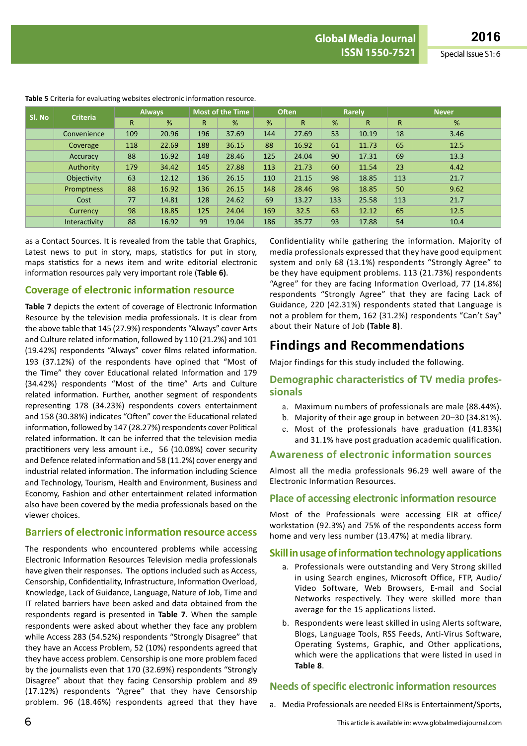**ISSN 1550-7521** Special Issue S1: 6

| Sl. No | <b>Criteria</b> | <b>Always</b> |       |              | <b>Most of the Time</b> |     | <b>Often</b> |     | Rarely       |              | <b>Never</b> |  |
|--------|-----------------|---------------|-------|--------------|-------------------------|-----|--------------|-----|--------------|--------------|--------------|--|
|        |                 | $\mathsf{R}$  | %     | $\mathsf{R}$ | %                       | %   | $\mathsf{R}$ | %   | $\mathsf{R}$ | $\mathsf{R}$ | %            |  |
|        | Convenience     | 109           | 20.96 | 196          | 37.69                   | 144 | 27.69        | 53  | 10.19        | 18           | 3.46         |  |
|        | Coverage        | 118           | 22.69 | 188          | 36.15                   | 88  | 16.92        | 61  | 11.73        | 65           | 12.5         |  |
|        | Accuracy        | 88            | 16.92 | 148          | 28.46                   | 125 | 24.04        | 90  | 17.31        | 69           | 13.3         |  |
|        | Authority       | 179           | 34.42 | 145          | 27.88                   | 113 | 21.73        | 60  | 11.54        | 23           | 4.42         |  |
|        | Objectivity     | 63            | 12.12 | 136          | 26.15                   | 110 | 21.15        | 98  | 18.85        | 113          | 21.7         |  |
|        | Promptness      | 88            | 16.92 | 136          | 26.15                   | 148 | 28.46        | 98  | 18.85        | 50           | 9.62         |  |
|        | Cost            | 77            | 14.81 | 128          | 24.62                   | 69  | 13.27        | 133 | 25.58        | 113          | 21.7         |  |
|        | Currency        | 98            | 18.85 | 125          | 24.04                   | 169 | 32.5         | 63  | 12.12        | 65           | 12.5         |  |
|        | Interactivity   | 88            | 16.92 | 99           | 19.04                   | 186 | 35.77        | 93  | 17.88        | 54           | 10.4         |  |

**Table 5** Criteria for evaluating websites electronic information resource.

as a Contact Sources. It is revealed from the table that Graphics, Latest news to put in story, maps, statistics for put in story, maps statistics for a news item and write editorial electronic information resources paly very important role (**Table 6)**.

### **Coverage of electronic information resource**

**Table 7** depicts the extent of coverage of Electronic Information Resource by the television media professionals. It is clear from the above table that 145 (27.9%) respondents "Always" cover Arts and Culture related information, followed by 110 (21.2%) and 101 (19.42%) respondents "Always" cover films related information. 193 (37.12%) of the respondents have opined that "Most of the Time" they cover Educational related Information and 179 (34.42%) respondents "Most of the time" Arts and Culture related information. Further, another segment of respondents representing 178 (34.23%) respondents covers entertainment and 158 (30.38%) indicates "Often" cover the Educational related information, followed by 147 (28.27%) respondents cover Political related information. It can be inferred that the television media practitioners very less amount i.e., 56 (10.08%) cover security and Defence related information and 58 (11.2%) cover energy and industrial related information. The information including Science and Technology, Tourism, Health and Environment, Business and Economy, Fashion and other entertainment related information also have been covered by the media professionals based on the viewer choices.

### **Barriers of electronic information resource access**

The respondents who encountered problems while accessing Electronic Information Resources Television media professionals have given their responses. The options included such as Access, Censorship, Confidentiality, Infrastructure, Information Overload, Knowledge, Lack of Guidance, Language, Nature of Job, Time and IT related barriers have been asked and data obtained from the respondents regard is presented in **Table 7**. When the sample respondents were asked about whether they face any problem while Access 283 (54.52%) respondents "Strongly Disagree" that they have an Access Problem, 52 (10%) respondents agreed that they have access problem. Censorship is one more problem faced by the journalists even that 170 (32.69%) respondents "Strongly Disagree" about that they facing Censorship problem and 89 (17.12%) respondents "Agree" that they have Censorship problem. 96 (18.46%) respondents agreed that they have

Confidentiality while gathering the information. Majority of media professionals expressed that they have good equipment system and only 68 (13.1%) respondents "Strongly Agree" to be they have equipment problems. 113 (21.73%) respondents "Agree" for they are facing Information Overload, 77 (14.8%) respondents "Strongly Agree" that they are facing Lack of Guidance, 220 (42.31%) respondents stated that Language is not a problem for them, 162 (31.2%) respondents "Can't Say" about their Nature of Job **(Table 8)**.

# **Findings and Recommendations**

Major findings for this study included the following.

### **Demographic characteristics of TV media professionals**

- a. Maximum numbers of professionals are male (88.44%).
- b. Majority of their age group in between 20–30 (34.81%).
- c. Most of the professionals have graduation (41.83%)
- and 31.1% have post graduation academic qualification.

### **Awareness of electronic information sources**

Almost all the media professionals 96.29 well aware of the Electronic Information Resources.

### **Place of accessing electronic information resource**

Most of the Professionals were accessing EIR at office/ workstation (92.3%) and 75% of the respondents access form home and very less number (13.47%) at media library.

### **Skill in usage of information technology applications**

- a. Professionals were outstanding and Very Strong skilled in using Search engines, Microsoft Office, FTP, Audio/ Video Software, Web Browsers, E-mail and Social Networks respectively. They were skilled more than average for the 15 applications listed.
- b. Respondents were least skilled in using Alerts software, Blogs, Language Tools, RSS Feeds, Anti-Virus Software, Operating Systems, Graphic, and Other applications, which were the applications that were listed in used in **Table 8**.

### **Needs of specific electronic information resources**

a. Media Professionals are needed EIRs is Entertainment/Sports,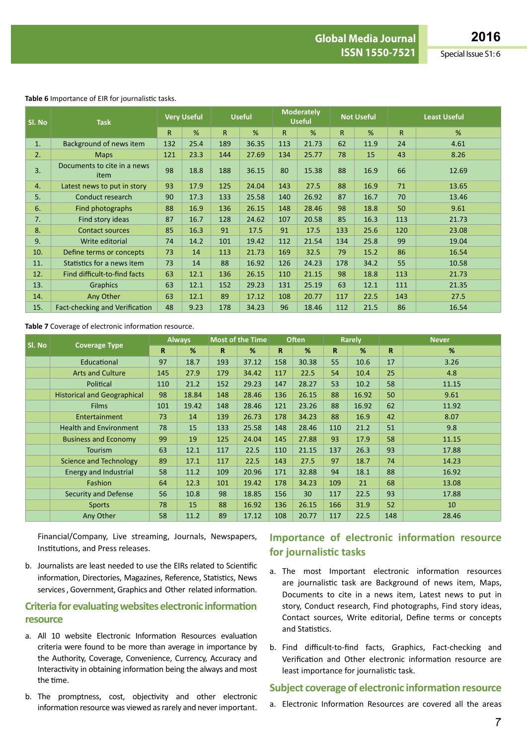#### **Table 6** Importance of EIR for journalistic tasks.

| SI. No | <b>Task</b>                         | <b>Very Useful</b> |      | <b>Useful</b> |       | <b>Moderately</b><br><b>Useful</b> |       | <b>Not Useful</b> |      | <b>Least Useful</b> |       |
|--------|-------------------------------------|--------------------|------|---------------|-------|------------------------------------|-------|-------------------|------|---------------------|-------|
|        |                                     | $\mathsf{R}$       | %    | $\mathsf{R}$  | %     | $\mathsf{R}$                       | %     | R                 | %    | $\mathsf{R}$        | %     |
| 1.     | Background of news item             | 132                | 25.4 | 189           | 36.35 | 113                                | 21.73 | 62                | 11.9 | 24                  | 4.61  |
| 2.     | <b>Maps</b>                         | 121                | 23.3 | 144           | 27.69 | 134                                | 25.77 | 78                | 15   | 43                  | 8.26  |
| 3.     | Documents to cite in a news<br>item | 98                 | 18.8 | 188           | 36.15 | 80                                 | 15.38 | 88                | 16.9 | 66                  | 12.69 |
| 4.     | Latest news to put in story         | 93                 | 17.9 | 125           | 24.04 | 143                                | 27.5  | 88                | 16.9 | 71                  | 13.65 |
| 5.     | Conduct research                    | 90                 | 17.3 | 133           | 25.58 | 140                                | 26.92 | 87                | 16.7 | 70                  | 13.46 |
| 6.     | Find photographs                    | 88                 | 16.9 | 136           | 26.15 | 148                                | 28.46 | 98                | 18.8 | 50                  | 9.61  |
| 7.     | Find story ideas                    | 87                 | 16.7 | 128           | 24.62 | 107                                | 20.58 | 85                | 16.3 | 113                 | 21.73 |
| 8.     | <b>Contact sources</b>              | 85                 | 16.3 | 91            | 17.5  | 91                                 | 17.5  | 133               | 25.6 | 120                 | 23.08 |
| 9.     | Write editorial                     | 74                 | 14.2 | 101           | 19.42 | 112                                | 21.54 | 134               | 25.8 | 99                  | 19.04 |
| 10.    | Define terms or concepts            | 73                 | 14   | 113           | 21.73 | 169                                | 32.5  | 79                | 15.2 | 86                  | 16.54 |
| 11.    | Statistics for a news item          | 73                 | 14   | 88            | 16.92 | 126                                | 24.23 | 178               | 34.2 | 55                  | 10.58 |
| 12.    | Find difficult-to-find facts        | 63                 | 12.1 | 136           | 26.15 | 110                                | 21.15 | 98                | 18.8 | 113                 | 21.73 |
| 13.    | <b>Graphics</b>                     | 63                 | 12.1 | 152           | 29.23 | 131                                | 25.19 | 63                | 12.1 | 111                 | 21.35 |
| 14.    | Any Other                           | 63                 | 12.1 | 89            | 17.12 | 108                                | 20.77 | 117               | 22.5 | 143                 | 27.5  |
| 15.    | Fact-checking and Verification      | 48                 | 9.23 | 178           | 34.23 | 96                                 | 18.46 | 112               | 21.5 | 86                  | 16.54 |

#### **Table 7** Coverage of electronic information resource.

|        |                                    | <b>Always</b> |       | Most of the Time |       |     | <b>Often</b> |             | <b>Rarely</b> | <b>Never</b> |       |
|--------|------------------------------------|---------------|-------|------------------|-------|-----|--------------|-------------|---------------|--------------|-------|
| SI. No | <b>Coverage Type</b>               | R.            | %     | $\mathbf R$      | %     | R.  | %            | $\mathbf R$ | %             | $\mathbf R$  | %     |
|        | Educational                        | 97            | 18.7  | 193              | 37.12 | 158 | 30.38        | 55          | 10.6          | 17           | 3.26  |
|        | <b>Arts and Culture</b>            | 145           | 27.9  | 179              | 34.42 | 117 | 22.5         | 54          | 10.4          | 25           | 4.8   |
|        | Political                          | 110           | 21.2  | 152              | 29.23 | 147 | 28.27        | 53          | 10.2          | 58           | 11.15 |
|        | <b>Historical and Geographical</b> | 98            | 18.84 | 148              | 28.46 | 136 | 26.15        | 88          | 16.92         | 50           | 9.61  |
|        | <b>Films</b>                       | 101           | 19.42 | 148              | 28.46 | 121 | 23.26        | 88          | 16.92         | 62           | 11.92 |
|        | Entertainment                      | 73            | 14    | 139              | 26.73 | 178 | 34.23        | 88          | 16.9          | 42           | 8.07  |
|        | <b>Health and Environment</b>      | 78            | 15    | 133              | 25.58 | 148 | 28.46        | 110         | 21.2          | 51           | 9.8   |
|        | <b>Business and Economy</b>        | 99            | 19    | 125              | 24.04 | 145 | 27.88        | 93          | 17.9          | 58           | 11.15 |
|        | <b>Tourism</b>                     | 63            | 12.1  | 117              | 22.5  | 110 | 21.15        | 137         | 26.3          | 93           | 17.88 |
|        | <b>Science and Technology</b>      | 89            | 17.1  | 117              | 22.5  | 143 | 27.5         | 97          | 18.7          | 74           | 14.23 |
|        | Energy and Industrial              | 58            | 11.2  | 109              | 20.96 | 171 | 32.88        | 94          | 18.1          | 88           | 16.92 |
|        | <b>Fashion</b>                     | 64            | 12.3  | 101              | 19.42 | 178 | 34.23        | 109         | 21            | 68           | 13.08 |
|        | <b>Security and Defense</b>        | 56            | 10.8  | 98               | 18.85 | 156 | 30           | 117         | 22.5          | 93           | 17.88 |
|        | <b>Sports</b>                      | 78            | 15    | 88               | 16.92 | 136 | 26.15        | 166         | 31.9          | 52           | 10    |
|        | Any Other                          | 58            | 11.2  | 89               | 17.12 | 108 | 20.77        | 117         | 22.5          | 148          | 28.46 |

Financial/Company, Live streaming, Journals, Newspapers, Institutions, and Press releases.

b. Journalists are least needed to use the EIRs related to Scientific information, Directories, Magazines, Reference, Statistics, News services, Government, Graphics and Other related information.

### **Criteria for evaluating websites electronic information resource**

- a. All 10 website Electronic Information Resources evaluation criteria were found to be more than average in importance by the Authority, Coverage, Convenience, Currency, Accuracy and Interactivity in obtaining information being the always and most the time.
- b. The promptness, cost, objectivity and other electronic information resource was viewed as rarely and never important.

## **Importance of electronic information resource for journalistic tasks**

- a. The most Important electronic information resources are journalistic task are Background of news item, Maps, Documents to cite in a news item, Latest news to put in story, Conduct research, Find photographs, Find story ideas, Contact sources, Write editorial, Define terms or concepts and Statistics.
- b. Find difficult-to-find facts, Graphics, Fact-checking and Verification and Other electronic information resource are least importance for journalistic task.

#### **Subject coverage of electronic information resource**

a. Electronic Information Resources are covered all the areas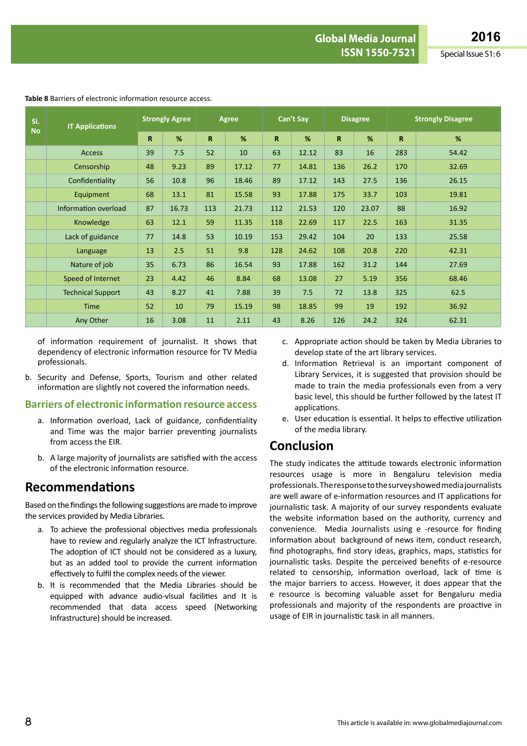| SI.<br><b>No</b> | <b>IT Applications</b>   | <b>Strongly Agree</b> |       | Agree       |       | Can't Say   |       | <b>Disagree</b> |       | <b>Strongly Disagree</b> |       |
|------------------|--------------------------|-----------------------|-------|-------------|-------|-------------|-------|-----------------|-------|--------------------------|-------|
|                  |                          | $\mathbf R$           | %     | $\mathbf R$ | %     | $\mathbf R$ | %     | $\mathbf R$     | %     | $\mathbf R$              | %     |
|                  | <b>Access</b>            | 39                    | 7.5   | 52          | 10    | 63          | 12.12 | 83              | 16    | 283                      | 54.42 |
|                  | Censorship               | 48                    | 9.23  | 89          | 17.12 | 77          | 14.81 | 136             | 26.2  | 170                      | 32.69 |
|                  | Confidentiality          | 56                    | 10.8  | 96          | 18.46 | 89          | 17.12 | 143             | 27.5  | 136                      | 26.15 |
|                  | Equipment                | 68                    | 13.1  | 81          | 15.58 | 93          | 17.88 | 175             | 33.7  | 103                      | 19.81 |
|                  | Information overload     | 87                    | 16.73 | 113         | 21.73 | 112         | 21.53 | 120             | 23.07 | 88                       | 16.92 |
|                  | Knowledge                | 63                    | 12.1  | 59          | 11.35 | 118         | 22.69 | 117             | 22.5  | 163                      | 31.35 |
|                  | Lack of guidance         | 77                    | 14.8  | 53          | 10.19 | 153         | 29.42 | 104             | 20    | 133                      | 25.58 |
|                  | Language                 | 13                    | 2.5   | 51          | 9.8   | 128         | 24.62 | 108             | 20.8  | 220                      | 42.31 |
|                  | Nature of job            | 35                    | 6.73  | 86          | 16.54 | 93          | 17.88 | 162             | 31.2  | 144                      | 27.69 |
|                  | Speed of Internet        | 23                    | 4.42  | 46          | 8.84  | 68          | 13.08 | 27              | 5.19  | 356                      | 68.46 |
|                  | <b>Technical Support</b> | 43                    | 8.27  | 41          | 7.88  | 39          | 7.5   | 72              | 13.8  | 325                      | 62.5  |
|                  | <b>Time</b>              | 52                    | 10    | 79          | 15.19 | 98          | 18.85 | 99              | 19    | 192                      | 36.92 |
|                  | Any Other                | 16                    | 3.08  | 11          | 2.11  | 43          | 8.26  | 126             | 24.2  | 324                      | 62.31 |

**Table 8** Barriers of electronic information resource access.

of information requirement of journalist. It shows that dependency of electronic information resource for TV Media professionals.

b. Security and Defense, Sports, Tourism and other related information are slightly not covered the information needs.

### **Barriers of electronic information resource access**

- a. Information overload, Lack of guidance, confidentiality and Time was the major barrier preventing journalists from access the EIR.
- b. A large majority of journalists are satisfied with the access of the electronic information resource.

## **Recommendations**

Based on the findings the following suggestions are made to improve the services provided by Media Libraries.

- a. To achieve the professional objectives media professionals have to review and regularly analyze the ICT Infrastructure. The adoption of ICT should not be considered as a luxury, but as an added tool to provide the current information effectively to fulfil the complex needs of the viewer.
- b. It is recommended that the Media Libraries should be equipped with advance audio-visual facilities and It is recommended that data access speed (Networking Infrastructure) should be increased.
- c. Appropriate action should be taken by Media Libraries to develop state of the art library services.
- d. Information Retrieval is an important component of Library Services, it is suggested that provision should be made to train the media professionals even from a very basic level, this should be further followed by the latest IT applications.
- e. User education is essential. It helps to effective utilization of the media library.

# **Conclusion**

The study indicates the attitude towards electronic information resources usage is more in Bengaluru television media professionals.Theresponsetothesurveyshowedmediajournalists are well aware of e-information resources and IT applications for journalistic task. A majority of our survey respondents evaluate the website information based on the authority, currency and convenience. Media Journalists using e -resource for finding information about background of news item, conduct research, find photographs, find story ideas, graphics, maps, statistics for journalistic tasks. Despite the perceived benefits of e-resource related to censorship, information overload, lack of time is the major barriers to access. However, it does appear that the e resource is becoming valuable asset for Bengaluru media professionals and majority of the respondents are proactive in usage of EIR in journalistic task in all manners.